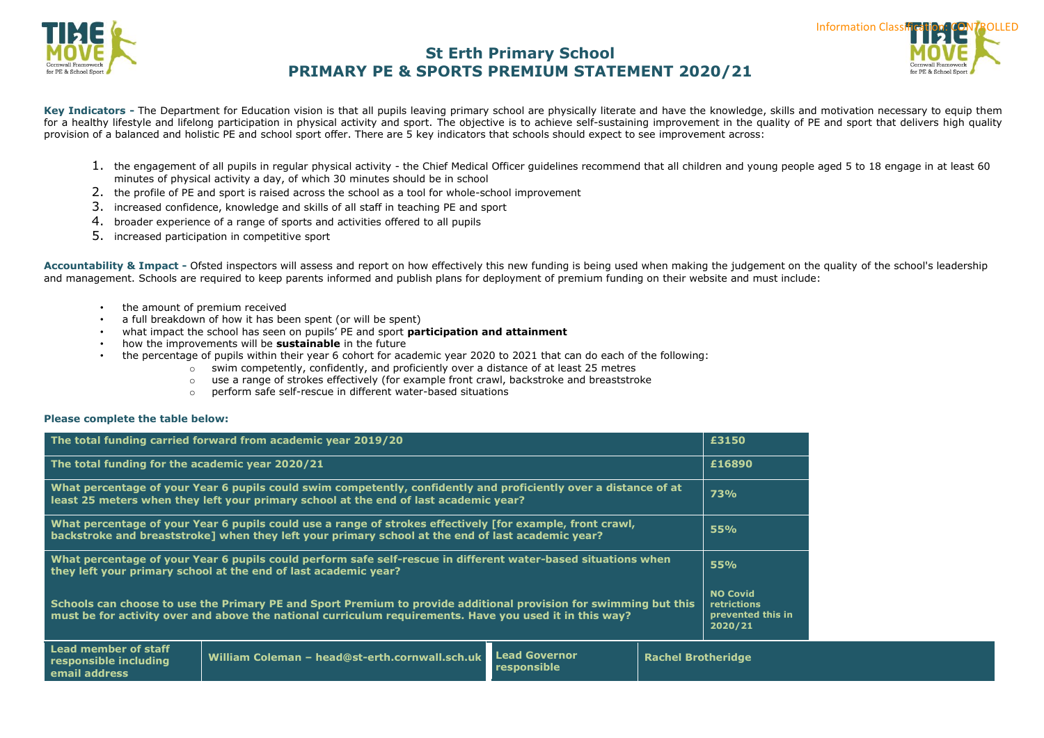



Key Indicators - The Department for Education vision is that all pupils leaving primary school are physically literate and have the knowledge, skills and motivation necessary to equip them for a healthy lifestyle and lifelong participation in physical activity and sport. The objective is to achieve self-sustaining improvement in the quality of PE and sport that delivers high quality provision of a balanced and holistic PE and school sport offer. There are 5 key indicators that schools should expect to see improvement across:

- 1. the engagement of all pupils in regular physical activity the Chief Medical Officer guidelines recommend that all children and young people aged 5 to 18 engage in at least 60 minutes of physical activity a day, of which 30 minutes should be in school
- 2. the profile of PE and sport is raised across the school as a tool for whole-school improvement
- 3. increased confidence, knowledge and skills of all staff in teaching PE and sport
- 4. broader experience of a range of sports and activities offered to all pupils
- 5. increased participation in competitive sport

**Accountability & Impact -** [Ofsted](http://www.ofsted.gov.uk/inspection-reports/our-expert-knowledge/physical-education) inspectors will assess and report on how effectively this new funding is being used when making the judgement on the quality of the school's leadership and management. Schools are required to keep parents informed and publish plans for deployment of premium funding on their website and must include:

- the amount of premium received
- a full breakdown of how it has been spent (or will be spent)
- what impact the school has seen on pupils' PE and sport **participation and attainment**
- how the improvements will be **sustainable** in the future
- the percentage of pupils within their year 6 cohort for academic year 2020 to 2021 that can do each of the following:
	- $\circ$  swim competently, confidently, and proficiently over a distance of at least 25 metres
	- o use a range of strokes effectively (for example front crawl, backstroke and breaststroke
	- o perform safe self-rescue in different water-based situations

#### **Please complete the table below:**

| The total funding carried forward from academic year 2019/20                                                                                                                                                                |                                                |                                     |                           |                                                                |
|-----------------------------------------------------------------------------------------------------------------------------------------------------------------------------------------------------------------------------|------------------------------------------------|-------------------------------------|---------------------------|----------------------------------------------------------------|
| The total funding for the academic year 2020/21                                                                                                                                                                             |                                                |                                     |                           |                                                                |
| What percentage of your Year 6 pupils could swim competently, confidently and proficiently over a distance of at<br>least 25 meters when they left your primary school at the end of last academic year?                    |                                                |                                     |                           | <b>73%</b>                                                     |
| What percentage of your Year 6 pupils could use a range of strokes effectively [for example, front crawl,<br>backstroke and breaststroke] when they left your primary school at the end of last academic year?              |                                                |                                     |                           | 55%                                                            |
| What percentage of your Year 6 pupils could perform safe self-rescue in different water-based situations when<br>they left your primary school at the end of last academic year?                                            |                                                |                                     | 55%                       |                                                                |
| Schools can choose to use the Primary PE and Sport Premium to provide additional provision for swimming but this<br>must be for activity over and above the national curriculum requirements. Have you used it in this way? |                                                |                                     |                           | <b>NO Covid</b><br>retrictions<br>prevented this in<br>2020/21 |
| Lead member of staff<br>responsible including<br>email address                                                                                                                                                              | William Coleman - head@st-erth.cornwall.sch.uk | <b>Lead Governor</b><br>responsible | <b>Rachel Brotheridge</b> |                                                                |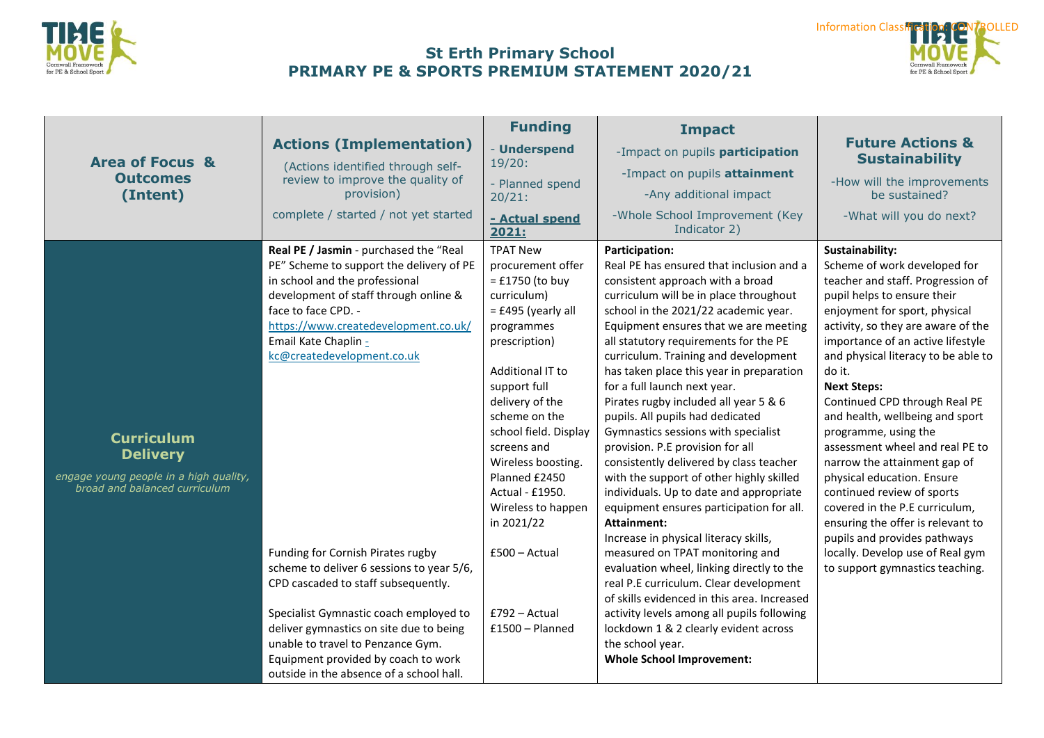



|                                                                                                                 |                                                                                                                                                                                                                                                                                                                                                                                                                                                                                                                                                                              | <b>Funding</b>                                                                                                                                                                                                                                                                                                                                                                                      | <b>Impact</b>                                                                                                                                                                                                                                                                                                                                                                                                                                                                                                                                                                                                                                                                                                                                                                                                                                                                                                                                                                                                                                                                                                |                                                                                                                                                                                                                                                                                                                                                                                                                                                                                                                                                                                                                                                                                                                 |
|-----------------------------------------------------------------------------------------------------------------|------------------------------------------------------------------------------------------------------------------------------------------------------------------------------------------------------------------------------------------------------------------------------------------------------------------------------------------------------------------------------------------------------------------------------------------------------------------------------------------------------------------------------------------------------------------------------|-----------------------------------------------------------------------------------------------------------------------------------------------------------------------------------------------------------------------------------------------------------------------------------------------------------------------------------------------------------------------------------------------------|--------------------------------------------------------------------------------------------------------------------------------------------------------------------------------------------------------------------------------------------------------------------------------------------------------------------------------------------------------------------------------------------------------------------------------------------------------------------------------------------------------------------------------------------------------------------------------------------------------------------------------------------------------------------------------------------------------------------------------------------------------------------------------------------------------------------------------------------------------------------------------------------------------------------------------------------------------------------------------------------------------------------------------------------------------------------------------------------------------------|-----------------------------------------------------------------------------------------------------------------------------------------------------------------------------------------------------------------------------------------------------------------------------------------------------------------------------------------------------------------------------------------------------------------------------------------------------------------------------------------------------------------------------------------------------------------------------------------------------------------------------------------------------------------------------------------------------------------|
| <b>Area of Focus &amp;</b>                                                                                      | <b>Actions (Implementation)</b><br>(Actions identified through self-                                                                                                                                                                                                                                                                                                                                                                                                                                                                                                         | - Underspend<br>19/20:                                                                                                                                                                                                                                                                                                                                                                              | -Impact on pupils participation                                                                                                                                                                                                                                                                                                                                                                                                                                                                                                                                                                                                                                                                                                                                                                                                                                                                                                                                                                                                                                                                              | <b>Future Actions &amp;</b><br><b>Sustainability</b>                                                                                                                                                                                                                                                                                                                                                                                                                                                                                                                                                                                                                                                            |
| <b>Outcomes</b><br>(Intent)                                                                                     | review to improve the quality of<br>provision)                                                                                                                                                                                                                                                                                                                                                                                                                                                                                                                               | - Planned spend<br>20/21:                                                                                                                                                                                                                                                                                                                                                                           | -Impact on pupils attainment<br>-Any additional impact                                                                                                                                                                                                                                                                                                                                                                                                                                                                                                                                                                                                                                                                                                                                                                                                                                                                                                                                                                                                                                                       | -How will the improvements<br>be sustained?                                                                                                                                                                                                                                                                                                                                                                                                                                                                                                                                                                                                                                                                     |
|                                                                                                                 | complete / started / not yet started                                                                                                                                                                                                                                                                                                                                                                                                                                                                                                                                         | - Actual spend<br>2021:                                                                                                                                                                                                                                                                                                                                                                             | -Whole School Improvement (Key<br>Indicator 2)                                                                                                                                                                                                                                                                                                                                                                                                                                                                                                                                                                                                                                                                                                                                                                                                                                                                                                                                                                                                                                                               | -What will you do next?                                                                                                                                                                                                                                                                                                                                                                                                                                                                                                                                                                                                                                                                                         |
| <b>Curriculum</b><br><b>Delivery</b><br>engage young people in a high quality,<br>broad and balanced curriculum | Real PE / Jasmin - purchased the "Real<br>PE" Scheme to support the delivery of PE<br>in school and the professional<br>development of staff through online &<br>face to face CPD. -<br>https://www.createdevelopment.co.uk/<br>Email Kate Chaplin -<br>kc@createdevelopment.co.uk<br>Funding for Cornish Pirates rugby<br>scheme to deliver 6 sessions to year 5/6,<br>CPD cascaded to staff subsequently.<br>Specialist Gymnastic coach employed to<br>deliver gymnastics on site due to being<br>unable to travel to Penzance Gym.<br>Equipment provided by coach to work | <b>TPAT New</b><br>procurement offer<br>$=$ £1750 (to buy<br>curriculum)<br>$=$ £495 (yearly all<br>programmes<br>prescription)<br>Additional IT to<br>support full<br>delivery of the<br>scheme on the<br>school field. Display<br>screens and<br>Wireless boosting.<br>Planned £2450<br>Actual - £1950.<br>Wireless to happen<br>in 2021/22<br>£500 - Actual<br>£792 - Actual<br>$£1500 - Planet$ | Participation:<br>Real PE has ensured that inclusion and a<br>consistent approach with a broad<br>curriculum will be in place throughout<br>school in the 2021/22 academic year.<br>Equipment ensures that we are meeting<br>all statutory requirements for the PE<br>curriculum. Training and development<br>has taken place this year in preparation<br>for a full launch next year.<br>Pirates rugby included all year 5 & 6<br>pupils. All pupils had dedicated<br>Gymnastics sessions with specialist<br>provision. P.E provision for all<br>consistently delivered by class teacher<br>with the support of other highly skilled<br>individuals. Up to date and appropriate<br>equipment ensures participation for all.<br>Attainment:<br>Increase in physical literacy skills,<br>measured on TPAT monitoring and<br>evaluation wheel, linking directly to the<br>real P.E curriculum. Clear development<br>of skills evidenced in this area. Increased<br>activity levels among all pupils following<br>lockdown 1 & 2 clearly evident across<br>the school year.<br><b>Whole School Improvement:</b> | Sustainability:<br>Scheme of work developed for<br>teacher and staff. Progression of<br>pupil helps to ensure their<br>enjoyment for sport, physical<br>activity, so they are aware of the<br>importance of an active lifestyle<br>and physical literacy to be able to<br>do it.<br><b>Next Steps:</b><br>Continued CPD through Real PE<br>and health, wellbeing and sport<br>programme, using the<br>assessment wheel and real PE to<br>narrow the attainment gap of<br>physical education. Ensure<br>continued review of sports<br>covered in the P.E curriculum,<br>ensuring the offer is relevant to<br>pupils and provides pathways<br>locally. Develop use of Real gym<br>to support gymnastics teaching. |
|                                                                                                                 | outside in the absence of a school hall.                                                                                                                                                                                                                                                                                                                                                                                                                                                                                                                                     |                                                                                                                                                                                                                                                                                                                                                                                                     |                                                                                                                                                                                                                                                                                                                                                                                                                                                                                                                                                                                                                                                                                                                                                                                                                                                                                                                                                                                                                                                                                                              |                                                                                                                                                                                                                                                                                                                                                                                                                                                                                                                                                                                                                                                                                                                 |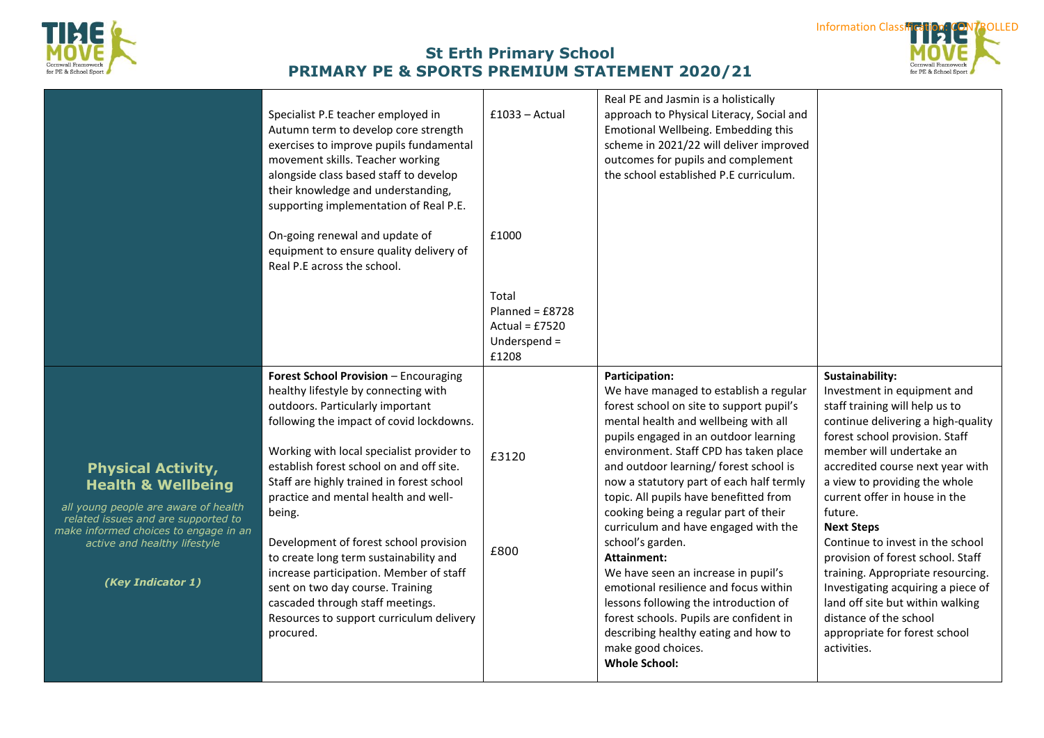



|                                                                                                                                                                                                                                         | Specialist P.E teacher employed in<br>Autumn term to develop core strength<br>exercises to improve pupils fundamental<br>movement skills. Teacher working<br>alongside class based staff to develop<br>their knowledge and understanding,<br>supporting implementation of Real P.E.<br>On-going renewal and update of<br>equipment to ensure quality delivery of<br>Real P.E across the school.                                                                                                                                                                                                                       | $£1033 - Actual$<br>£1000                                               | Real PE and Jasmin is a holistically<br>approach to Physical Literacy, Social and<br>Emotional Wellbeing. Embedding this<br>scheme in 2021/22 will deliver improved<br>outcomes for pupils and complement<br>the school established P.E curriculum.                                                                                                                                                                                                                                                                                                                                                                                                                                                                                                  |                                                                                                                                                                                                                                                                                                                                                                                                                                                                                                                                                                                              |
|-----------------------------------------------------------------------------------------------------------------------------------------------------------------------------------------------------------------------------------------|-----------------------------------------------------------------------------------------------------------------------------------------------------------------------------------------------------------------------------------------------------------------------------------------------------------------------------------------------------------------------------------------------------------------------------------------------------------------------------------------------------------------------------------------------------------------------------------------------------------------------|-------------------------------------------------------------------------|------------------------------------------------------------------------------------------------------------------------------------------------------------------------------------------------------------------------------------------------------------------------------------------------------------------------------------------------------------------------------------------------------------------------------------------------------------------------------------------------------------------------------------------------------------------------------------------------------------------------------------------------------------------------------------------------------------------------------------------------------|----------------------------------------------------------------------------------------------------------------------------------------------------------------------------------------------------------------------------------------------------------------------------------------------------------------------------------------------------------------------------------------------------------------------------------------------------------------------------------------------------------------------------------------------------------------------------------------------|
|                                                                                                                                                                                                                                         |                                                                                                                                                                                                                                                                                                                                                                                                                                                                                                                                                                                                                       | Total<br>Planned = $£8728$<br>Actual = $£7520$<br>Underspend =<br>£1208 |                                                                                                                                                                                                                                                                                                                                                                                                                                                                                                                                                                                                                                                                                                                                                      |                                                                                                                                                                                                                                                                                                                                                                                                                                                                                                                                                                                              |
| <b>Physical Activity,</b><br><b>Health &amp; Wellbeing</b><br>all young people are aware of health<br>related issues and are supported to<br>make informed choices to engage in an<br>active and healthy lifestyle<br>(Key Indicator 1) | Forest School Provision - Encouraging<br>healthy lifestyle by connecting with<br>outdoors. Particularly important<br>following the impact of covid lockdowns.<br>Working with local specialist provider to<br>establish forest school on and off site.<br>Staff are highly trained in forest school<br>practice and mental health and well-<br>being.<br>Development of forest school provision<br>to create long term sustainability and<br>increase participation. Member of staff<br>sent on two day course. Training<br>cascaded through staff meetings.<br>Resources to support curriculum delivery<br>procured. | £3120<br>£800                                                           | <b>Participation:</b><br>We have managed to establish a regular<br>forest school on site to support pupil's<br>mental health and wellbeing with all<br>pupils engaged in an outdoor learning<br>environment. Staff CPD has taken place<br>and outdoor learning/ forest school is<br>now a statutory part of each half termly<br>topic. All pupils have benefitted from<br>cooking being a regular part of their<br>curriculum and have engaged with the<br>school's garden.<br>Attainment:<br>We have seen an increase in pupil's<br>emotional resilience and focus within<br>lessons following the introduction of<br>forest schools. Pupils are confident in<br>describing healthy eating and how to<br>make good choices.<br><b>Whole School:</b> | Sustainability:<br>Investment in equipment and<br>staff training will help us to<br>continue delivering a high-quality<br>forest school provision. Staff<br>member will undertake an<br>accredited course next year with<br>a view to providing the whole<br>current offer in house in the<br>future.<br><b>Next Steps</b><br>Continue to invest in the school<br>provision of forest school. Staff<br>training. Appropriate resourcing.<br>Investigating acquiring a piece of<br>land off site but within walking<br>distance of the school<br>appropriate for forest school<br>activities. |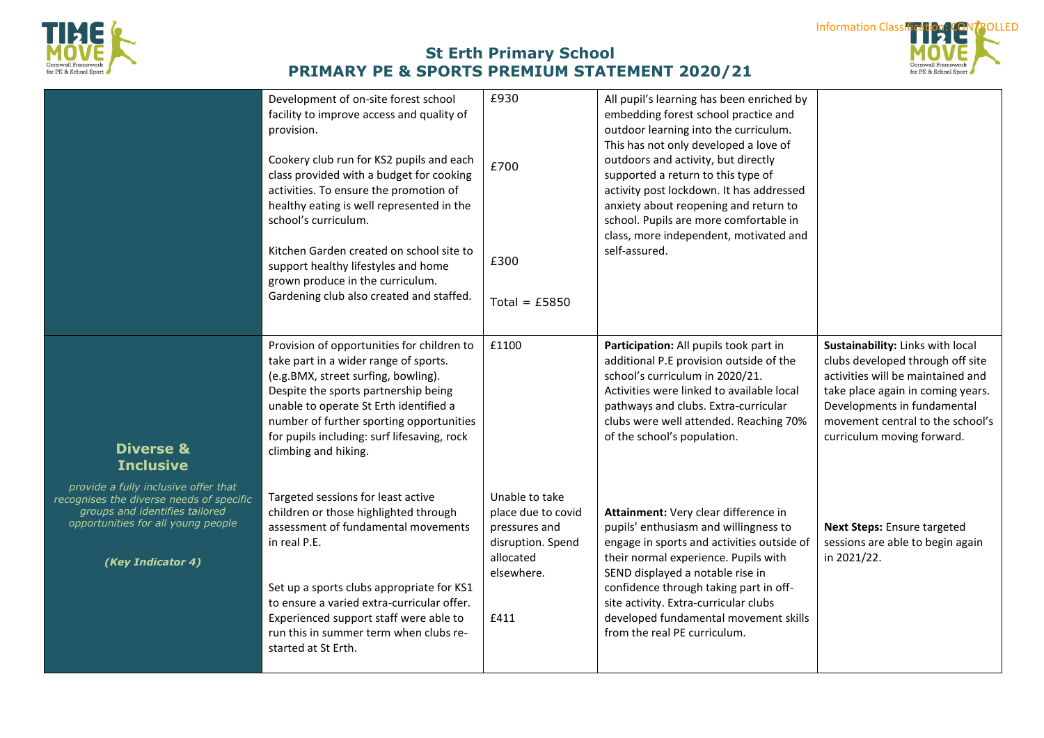



|                                                                                                                                                                               | Development of on-site forest school<br>facility to improve access and quality of<br>provision.<br>Cookery club run for KS2 pupils and each<br>class provided with a budget for cooking<br>activities. To ensure the promotion of<br>healthy eating is well represented in the<br>school's curriculum.<br>Kitchen Garden created on school site to<br>support healthy lifestyles and home<br>grown produce in the curriculum.<br>Gardening club also created and staffed. | £930<br>£700<br>£300<br>Total = $£5850$                                                                       | All pupil's learning has been enriched by<br>embedding forest school practice and<br>outdoor learning into the curriculum.<br>This has not only developed a love of<br>outdoors and activity, but directly<br>supported a return to this type of<br>activity post lockdown. It has addressed<br>anxiety about reopening and return to<br>school. Pupils are more comfortable in<br>class, more independent, motivated and<br>self-assured. |                                                                                                                                                                                                                                                 |
|-------------------------------------------------------------------------------------------------------------------------------------------------------------------------------|---------------------------------------------------------------------------------------------------------------------------------------------------------------------------------------------------------------------------------------------------------------------------------------------------------------------------------------------------------------------------------------------------------------------------------------------------------------------------|---------------------------------------------------------------------------------------------------------------|--------------------------------------------------------------------------------------------------------------------------------------------------------------------------------------------------------------------------------------------------------------------------------------------------------------------------------------------------------------------------------------------------------------------------------------------|-------------------------------------------------------------------------------------------------------------------------------------------------------------------------------------------------------------------------------------------------|
| <b>Diverse &amp;</b><br><b>Inclusive</b>                                                                                                                                      | Provision of opportunities for children to<br>take part in a wider range of sports.<br>(e.g.BMX, street surfing, bowling).<br>Despite the sports partnership being<br>unable to operate St Erth identified a<br>number of further sporting opportunities<br>for pupils including: surf lifesaving, rock<br>climbing and hiking.                                                                                                                                           | £1100                                                                                                         | Participation: All pupils took part in<br>additional P.E provision outside of the<br>school's curriculum in 2020/21.<br>Activities were linked to available local<br>pathways and clubs. Extra-curricular<br>clubs were well attended. Reaching 70%<br>of the school's population.                                                                                                                                                         | Sustainability: Links with local<br>clubs developed through off site<br>activities will be maintained and<br>take place again in coming years.<br>Developments in fundamental<br>movement central to the school's<br>curriculum moving forward. |
| provide a fully inclusive offer that<br>recognises the diverse needs of specific<br>groups and identifies tailored<br>opportunities for all young people<br>(Key Indicator 4) | Targeted sessions for least active<br>children or those highlighted through<br>assessment of fundamental movements<br>in real P.E.<br>Set up a sports clubs appropriate for KS1<br>to ensure a varied extra-curricular offer.<br>Experienced support staff were able to<br>run this in summer term when clubs re-<br>started at St Erth.                                                                                                                                  | Unable to take<br>place due to covid<br>pressures and<br>disruption. Spend<br>allocated<br>elsewhere.<br>£411 | Attainment: Very clear difference in<br>pupils' enthusiasm and willingness to<br>engage in sports and activities outside of<br>their normal experience. Pupils with<br>SEND displayed a notable rise in<br>confidence through taking part in off-<br>site activity. Extra-curricular clubs<br>developed fundamental movement skills<br>from the real PE curriculum.                                                                        | Next Steps: Ensure targeted<br>sessions are able to begin again<br>in 2021/22.                                                                                                                                                                  |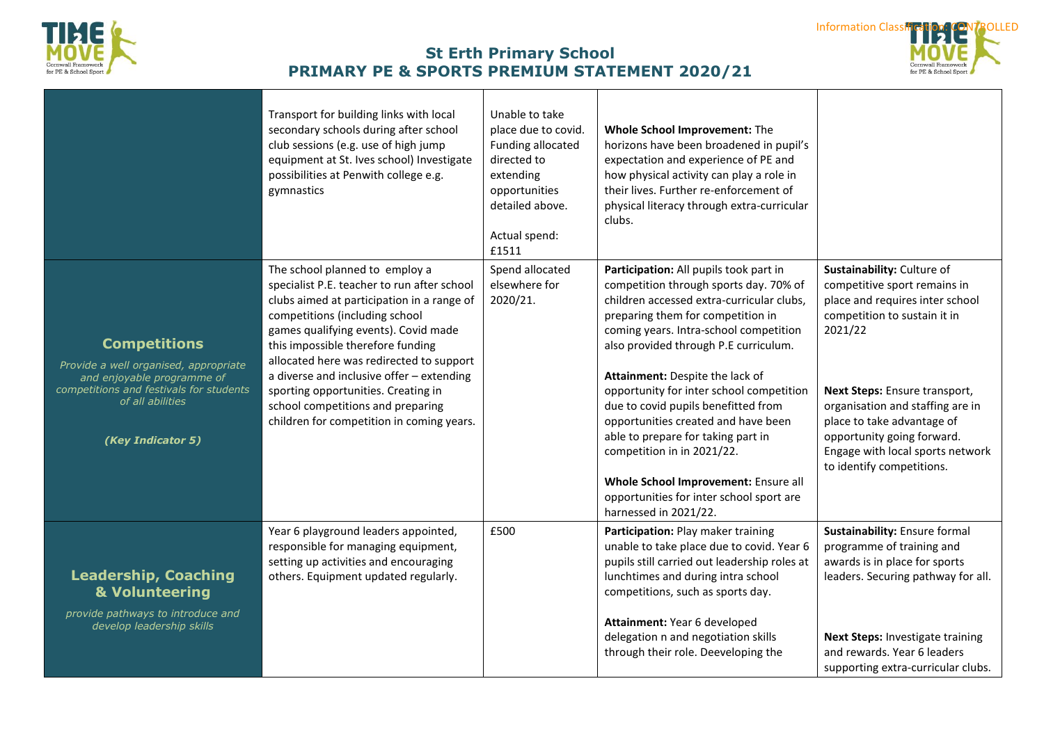



|                                                                                                                                                                                | Transport for building links with local<br>secondary schools during after school<br>club sessions (e.g. use of high jump<br>equipment at St. Ives school) Investigate<br>possibilities at Penwith college e.g.<br>gymnastics                                                                                                                                                                                                                                 | Unable to take<br>place due to covid.<br>Funding allocated<br>directed to<br>extending<br>opportunities<br>detailed above.<br>Actual spend:<br>£1511 | Whole School Improvement: The<br>horizons have been broadened in pupil's<br>expectation and experience of PE and<br>how physical activity can play a role in<br>their lives. Further re-enforcement of<br>physical literacy through extra-curricular<br>clubs.                                                                                                                                                                                                                                                                                                                                      |                                                                                                                                                                                                                                                                                                                                            |
|--------------------------------------------------------------------------------------------------------------------------------------------------------------------------------|--------------------------------------------------------------------------------------------------------------------------------------------------------------------------------------------------------------------------------------------------------------------------------------------------------------------------------------------------------------------------------------------------------------------------------------------------------------|------------------------------------------------------------------------------------------------------------------------------------------------------|-----------------------------------------------------------------------------------------------------------------------------------------------------------------------------------------------------------------------------------------------------------------------------------------------------------------------------------------------------------------------------------------------------------------------------------------------------------------------------------------------------------------------------------------------------------------------------------------------------|--------------------------------------------------------------------------------------------------------------------------------------------------------------------------------------------------------------------------------------------------------------------------------------------------------------------------------------------|
| <b>Competitions</b><br>Provide a well organised, appropriate<br>and enjoyable programme of<br>competitions and festivals for students<br>of all abilities<br>(Key Indicator 5) | The school planned to employ a<br>specialist P.E. teacher to run after school<br>clubs aimed at participation in a range of<br>competitions (including school<br>games qualifying events). Covid made<br>this impossible therefore funding<br>allocated here was redirected to support<br>a diverse and inclusive offer - extending<br>sporting opportunities. Creating in<br>school competitions and preparing<br>children for competition in coming years. | Spend allocated<br>elsewhere for<br>2020/21.                                                                                                         | Participation: All pupils took part in<br>competition through sports day. 70% of<br>children accessed extra-curricular clubs,<br>preparing them for competition in<br>coming years. Intra-school competition<br>also provided through P.E curriculum.<br>Attainment: Despite the lack of<br>opportunity for inter school competition<br>due to covid pupils benefitted from<br>opportunities created and have been<br>able to prepare for taking part in<br>competition in in 2021/22.<br>Whole School Improvement: Ensure all<br>opportunities for inter school sport are<br>harnessed in 2021/22. | Sustainability: Culture of<br>competitive sport remains in<br>place and requires inter school<br>competition to sustain it in<br>2021/22<br>Next Steps: Ensure transport,<br>organisation and staffing are in<br>place to take advantage of<br>opportunity going forward.<br>Engage with local sports network<br>to identify competitions. |
| <b>Leadership, Coaching</b><br>& Volunteering<br>provide pathways to introduce and<br>develop leadership skills                                                                | Year 6 playground leaders appointed,<br>responsible for managing equipment,<br>setting up activities and encouraging<br>others. Equipment updated regularly.                                                                                                                                                                                                                                                                                                 | £500                                                                                                                                                 | Participation: Play maker training<br>unable to take place due to covid. Year 6<br>pupils still carried out leadership roles at<br>lunchtimes and during intra school<br>competitions, such as sports day.<br>Attainment: Year 6 developed<br>delegation n and negotiation skills<br>through their role. Deeveloping the                                                                                                                                                                                                                                                                            | Sustainability: Ensure formal<br>programme of training and<br>awards is in place for sports<br>leaders. Securing pathway for all.<br>Next Steps: Investigate training<br>and rewards. Year 6 leaders<br>supporting extra-curricular clubs.                                                                                                 |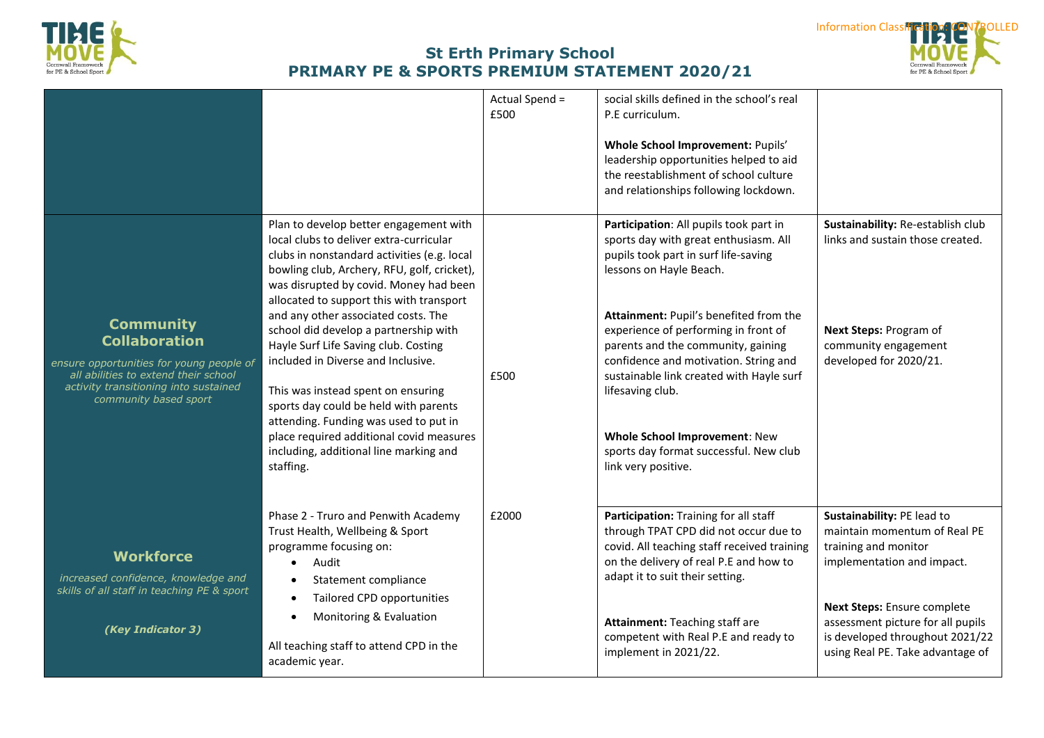



|                                                                                                                                                                                                |                                                                                                                                                                                                                                                                                                                                                                                                                                                                                                                                                                                                                                                                | Actual Spend =<br>£500 | social skills defined in the school's real<br>P.E curriculum.<br>Whole School Improvement: Pupils'<br>leadership opportunities helped to aid<br>the reestablishment of school culture<br>and relationships following lockdown.                                                                                                                                                                                                                                                        |                                                                                                                                                                                                                                                             |
|------------------------------------------------------------------------------------------------------------------------------------------------------------------------------------------------|----------------------------------------------------------------------------------------------------------------------------------------------------------------------------------------------------------------------------------------------------------------------------------------------------------------------------------------------------------------------------------------------------------------------------------------------------------------------------------------------------------------------------------------------------------------------------------------------------------------------------------------------------------------|------------------------|---------------------------------------------------------------------------------------------------------------------------------------------------------------------------------------------------------------------------------------------------------------------------------------------------------------------------------------------------------------------------------------------------------------------------------------------------------------------------------------|-------------------------------------------------------------------------------------------------------------------------------------------------------------------------------------------------------------------------------------------------------------|
| <b>Community</b><br><b>Collaboration</b><br>ensure opportunities for young people of<br>all abilities to extend their school<br>activity transitioning into sustained<br>community based sport | Plan to develop better engagement with<br>local clubs to deliver extra-curricular<br>clubs in nonstandard activities (e.g. local<br>bowling club, Archery, RFU, golf, cricket),<br>was disrupted by covid. Money had been<br>allocated to support this with transport<br>and any other associated costs. The<br>school did develop a partnership with<br>Hayle Surf Life Saving club. Costing<br>included in Diverse and Inclusive.<br>This was instead spent on ensuring<br>sports day could be held with parents<br>attending. Funding was used to put in<br>place required additional covid measures<br>including, additional line marking and<br>staffing. | £500                   | Participation: All pupils took part in<br>sports day with great enthusiasm. All<br>pupils took part in surf life-saving<br>lessons on Hayle Beach.<br>Attainment: Pupil's benefited from the<br>experience of performing in front of<br>parents and the community, gaining<br>confidence and motivation. String and<br>sustainable link created with Hayle surf<br>lifesaving club.<br>Whole School Improvement: New<br>sports day format successful. New club<br>link very positive. | Sustainability: Re-establish club<br>links and sustain those created.<br>Next Steps: Program of<br>community engagement<br>developed for 2020/21.                                                                                                           |
| <b>Workforce</b><br>increased confidence, knowledge and<br>skills of all staff in teaching PE & sport<br>(Key Indicator 3)                                                                     | Phase 2 - Truro and Penwith Academy<br>Trust Health, Wellbeing & Sport<br>programme focusing on:<br>Audit<br>Statement compliance<br>Tailored CPD opportunities<br>$\bullet$<br>Monitoring & Evaluation<br>All teaching staff to attend CPD in the<br>academic year.                                                                                                                                                                                                                                                                                                                                                                                           | £2000                  | Participation: Training for all staff<br>through TPAT CPD did not occur due to<br>covid. All teaching staff received training<br>on the delivery of real P.E and how to<br>adapt it to suit their setting.<br>Attainment: Teaching staff are<br>competent with Real P.E and ready to<br>implement in 2021/22.                                                                                                                                                                         | Sustainability: PE lead to<br>maintain momentum of Real PE<br>training and monitor<br>implementation and impact.<br>Next Steps: Ensure complete<br>assessment picture for all pupils<br>is developed throughout 2021/22<br>using Real PE. Take advantage of |